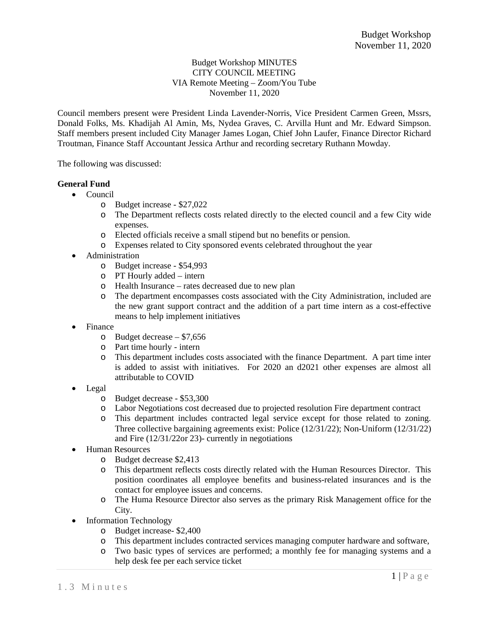## Budget Workshop MINUTES CITY COUNCIL MEETING VIA Remote Meeting – Zoom/You Tube November 11, 2020

Council members present were President Linda Lavender-Norris, Vice President Carmen Green, Mssrs, Donald Folks, Ms. Khadijah Al Amin, Ms, Nydea Graves, C. Arvilla Hunt and Mr. Edward Simpson. Staff members present included City Manager James Logan, Chief John Laufer, Finance Director Richard Troutman, Finance Staff Accountant Jessica Arthur and recording secretary Ruthann Mowday.

The following was discussed:

## **General Fund**

- Council
	- o Budget increase \$27,022
	- o The Department reflects costs related directly to the elected council and a few City wide expenses.
	- o Elected officials receive a small stipend but no benefits or pension.
	- o Expenses related to City sponsored events celebrated throughout the year
- Administration
	- o Budget increase \$54,993
	- o PT Hourly added intern
	- o Health Insurance rates decreased due to new plan
	- o The department encompasses costs associated with the City Administration, included are the new grant support contract and the addition of a part time intern as a cost-effective means to help implement initiatives
- Finance
	- o Budget decrease \$7,656
	- o Part time hourly intern
	- o This department includes costs associated with the finance Department. A part time inter is added to assist with initiatives. For 2020 an d2021 other expenses are almost all attributable to COVID
- Legal
	- o Budget decrease \$53,300
	- o Labor Negotiations cost decreased due to projected resolution Fire department contract
	- o This department includes contracted legal service except for those related to zoning. Three collective bargaining agreements exist: Police (12/31/22); Non-Uniform (12/31/22) and Fire (12/31/22or 23)- currently in negotiations
- Human Resources
	- o Budget decrease \$2,413
	- o This department reflects costs directly related with the Human Resources Director. This position coordinates all employee benefits and business-related insurances and is the contact for employee issues and concerns.
	- o The Huma Resource Director also serves as the primary Risk Management office for the City.
- Information Technology
	- o Budget increase- \$2,400
	- o This department includes contracted services managing computer hardware and software,
	- o Two basic types of services are performed; a monthly fee for managing systems and a help desk fee per each service ticket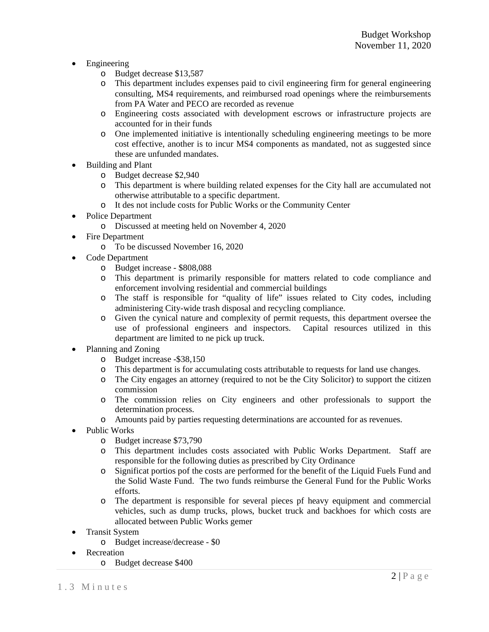- Engineering
	- o Budget decrease \$13,587
	- o This department includes expenses paid to civil engineering firm for general engineering consulting, MS4 requirements, and reimbursed road openings where the reimbursements from PA Water and PECO are recorded as revenue
	- o Engineering costs associated with development escrows or infrastructure projects are accounted for in their funds
	- o One implemented initiative is intentionally scheduling engineering meetings to be more cost effective, another is to incur MS4 components as mandated, not as suggested since these are unfunded mandates.
- Building and Plant
	- o Budget decrease \$2,940
	- o This department is where building related expenses for the City hall are accumulated not otherwise attributable to a specific department.
	- o It des not include costs for Public Works or the Community Center
- Police Department
	- o Discussed at meeting held on November 4, 2020
- Fire Department
	- o To be discussed November 16, 2020
- Code Department
	- o Budget increase \$808,088
	- o This department is primarily responsible for matters related to code compliance and enforcement involving residential and commercial buildings
	- o The staff is responsible for "quality of life" issues related to City codes, including administering City-wide trash disposal and recycling compliance.
	- o Given the cynical nature and complexity of permit requests, this department oversee the use of professional engineers and inspectors. Capital resources utilized in this department are limited to ne pick up truck.
- Planning and Zoning
	- o Budget increase -\$38,150
	- o This department is for accumulating costs attributable to requests for land use changes.
	- o The City engages an attorney (required to not be the City Solicitor) to support the citizen commission
	- o The commission relies on City engineers and other professionals to support the determination process.
	- o Amounts paid by parties requesting determinations are accounted for as revenues.
- Public Works
	- o Budget increase \$73,790
	- o This department includes costs associated with Public Works Department. Staff are responsible for the following duties as prescribed by City Ordinance
	- o Significat portios pof the costs are performed for the benefit of the Liquid Fuels Fund and the Solid Waste Fund. The two funds reimburse the General Fund for the Public Works efforts.
	- o The department is responsible for several pieces pf heavy equipment and commercial vehicles, such as dump trucks, plows, bucket truck and backhoes for which costs are allocated between Public Works gemer
- Transit System
	- o Budget increase/decrease \$0
- Recreation
	- o Budget decrease \$400